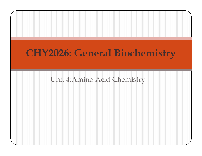# Unit 4:Amino Acid ChemistryCHY2026: General Biochemistry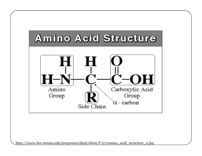

http://www.hcc.mnscu.edu/programs/dept/chem/V.27/amino\_acid\_structure\_2.jpg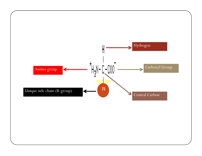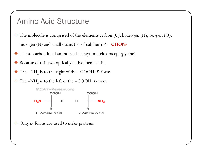## Amino Acid Structure

- $\clubsuit$  The molecule is comprised of the elements carbon (C), hydrogen (H), oxygen (O), nitrogen (N) and small quantities of sulphur (S) –  $\textbf{CHONS}$
- The <sup>α</sup> carbon in all amino acids is asymmetric (except glycine)
- Because of this two optically active forms exist
- $\frac{1}{2}$  $\cdot \cdot$  The –NH<sub>2</sub> is to the right of the –COOH: D-form
- $\bullet$  The –NH<sub>2</sub> is to the left of the –COOH: *L*-form



Only <sup>L</sup>- forms are used to make proteins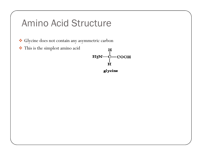# Amino Acid Structure

- Glycine does not contain any asymmetric carbon
- This is the simplest amino acid

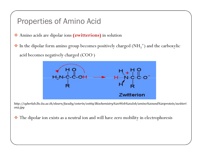## Properties of Amino Acid

- Amino acids are dipolar ions (zwitterions) in solution
- $\cdot$  In the dipolar form amino group becomes positively charged (NH<sub>3</sub><sup>+</sup>) and the carboxylic acid becomes negatively charged (COO- )



http://cyberlab.lh1.ku.ac.th/elearn/faculty/veterin/vet69/Biochemistry%20Web%20Job/amino%20and%20protein/zwitterion2.jpg

 $\frac{1}{2}$ The dipolar ion exists as a neutral ion and will have zero mobility in electrophoresis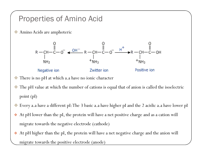## Properties of Amino Acid

参考 Amino Acids are amphoteric



- 参考 There is no pH at which a.a have no ionic character
- 参考 The pH value at which the number of cations is equal that of anion is called the isoelectric point (pI)
- 参考 Every a.a have a different pI: The 3 basic a.a have higher pI and the 2 acidic a.a have lower pI
- $\cdot$  At pH lower than the pI, the protein will have a net positive charge and as a cation will migrate towards the negative electrode (cathode)
- $\boldsymbol{\cdot}$  At pH higher than the pI, the protein will have a net negative charge and the anion will migrate towards the positive electrode (anode)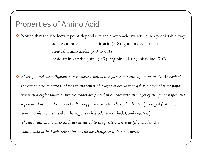## Properties of Amino Acid

 $\bullet$  Notice that the isoelectric point depends on the amino acid structure in a predictable way acidic amino acids: aspartic acid (2.8), glutamic acid (3.2) neutral amino acids: (5.0 to 6.3)basic amino acids: lysine (9.7), arginine (10.8), histidine (7.6)

 $\clubsuit$  Electrophoresis uses differences in isoelectric points to separate mixtures of amino acids. A streak of the amino acid mixture is placed in the center of a layer of acrylamide gel or a piece of filter paper wet with a buffer solution. Two electrodes are placed in contact with the edges of the gel or paper, and a potential of several thousand volts is applied across the electrodes. Positively charged (cationic) amino acids are attracted to the negative electrode (the cathode), and negativelycharged (anionic) amino acids are attracted to the positive electrode (the anode). Anamino acid at its isoelectric point has no net charge, so it does not move.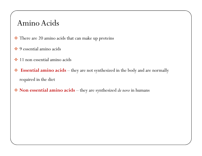## Amino Acids

- There are 20 amino acids that can make up proteins
- $\clubsuit$  9 essential amino acids
- $\frac{1}{2}$ 11 non essential amino acids
- Essential amino acids – they are not synthesized in the body and are normally required in the diet
- $\clubsuit$  Non essential amino acids they are synthesized *de novo* in humans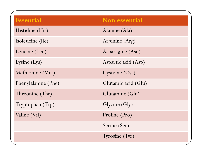| <b>Essential</b>    | <b>Non essential</b> |
|---------------------|----------------------|
| Histidine (His)     | Alanine (Ala)        |
| Isoleucine (Ile)    | Arginine (Arg)       |
| Leucine (Leu)       | Asparagine (Asn)     |
| Lysine (Lys)        | Aspartic acid (Asp)  |
| Methionine (Met)    | Cysteine (Cys)       |
| Phenylalanine (Phe) | Glutamic acid (Glu)  |
| Threonine (Thr)     | Glutamine (Gln)      |
| Tryptophan (Trp)    | Glycine (Gly)        |
| Valine (Val)        | Proline (Pro)        |
|                     | Serine (Ser)         |
|                     | Tyrosine (Tyr)       |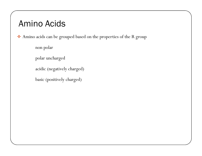# Amino Acids

Amino acids can be grouped based on the properties of the R group

non polar

polar uncharged

acidic (negatively charged)

basic (positively charged)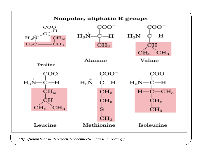

http://www.le.ac.uk/by/teach/biochemweb/images/nonpolar.gif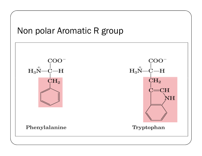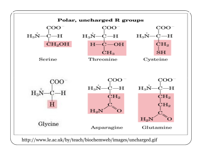

http://www.le.ac.uk/by/teach/biochemweb/images/uncharged.gif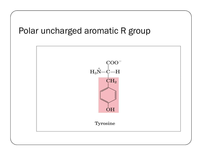# Polar uncharged aromatic R group

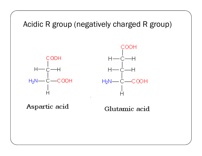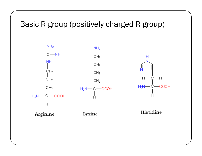## Basic R group (positively charged R group)

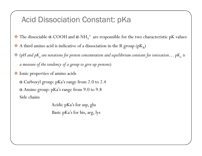## Acid Dissociation Constant: pKa

- $\frac{1}{2}$ • The dissociable  $\alpha$ -COOH and  $\alpha$ -NH<sub>3</sub><sup>+</sup> are responsible for the two characteristic pK values
- $\frac{1}{2}$  $\clubsuit$  A third amino acid is indicative of a dissociation in the R group (pK<sub>R</sub>)
- $\bm{\cdot} \bullet$  (pH and pK<sub>a</sub> are notations for proton concentration and equilibrium constant for ionization… pK<sub>a</sub> is a measure of the tendency of a group to give up protons )
- Ionic properties of amino acids

α-Carboxyl group: pKa's range from 2.0 to 2.4α-Amino group: pKa's range from 9.0 to 9.8Side chains

> Acidic pKa's for asp, gluBasic pKa's for his, arg, lys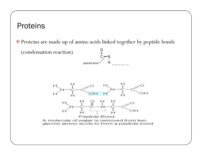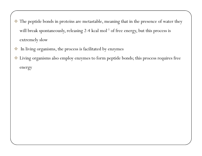- $\bullet\bullet$  The peptide bonds in proteins are metastable, meaning that in the presence of water they will break spontaneously, releasing 2-4 kcal mol<sup>-1</sup> of free energy, but this process is extremely slow
- 參 In living organisms, the process is facilitated by enzymes
- Living organisms also employ enzymes to form peptide bonds; this process requires free energy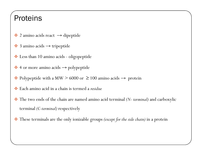## **Proteins**

- $\clubsuit$  2 amino acids react  $\rightarrow$  dipeptide
- $\clubsuit$  3 amino acids  $\rightarrow$  tripeptide
- Less than 10 amino acids oligopeptide
- $\clubsuit$  4 or more amino acids  $\rightarrow$  polypeptide
- $\cdot$  Polypeptide with a MW > 6000 or  $\geq$  100 amino acids  $\rightarrow$  protein
- $\frac{1}{2}$ Each amino acid in a chain is termed a residue
- $\frac{1}{2}$ The two ends of the chain are named amino acid terminal (N- terminal) and carboxylic terminal (C-terminal) respectively
- 參 These terminals are the only ionizable groups (except for the side chain) in a protein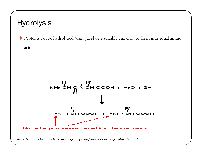## Hydrolysis

 Proteins can be hydrolyzed (using acid or a suitable enzyme) to form individual amino acids

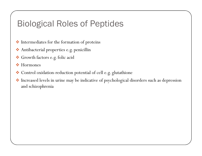# Biological Roles of Peptides

- $\clubsuit$  Intermediates for the formation of proteins
- Antibacterial properties e.g. penicillin
- Growth factors e.g. folic acid
- **◆** Hormones
- $\clubsuit$  Control oxidation-reduction potential of cell e.g. glutathione
- Increased levels in urine may be indicative of psychological disorders such as depression and schizophrenia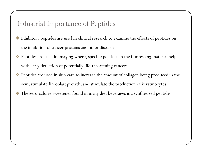## Industrial Importance of Peptides

- 参考 Inhibitory peptides are used in clinical research to examine the effects of peptides on the inhibition of cancer proteins and other diseases
- $\clubsuit$  Peptides are used in imaging where, specific peptides in the fluorescing material help with early detection of potentially life-threatening cancers
- **SEP**  Peptides are used in skin care to increase the amount of collagen being produced in the skin, stimulate fibroblast growth, and stimulate the production of keratinocytes
- 參 The zero-calorie sweetener found in many diet beverages is a synthesized peptide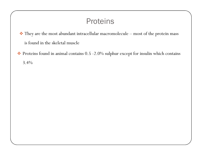## **Proteins**

 $\clubsuit$  They are the most abundant intracellular macromolecule – most of the protein mass is found in the skeletal muscle

 Proteins found in animal contains 0.5 -2.0% sulphur except for insulin which contains 3.4%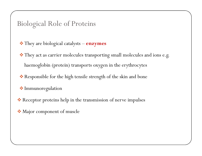## Biological Role of Proteins

- $\clubsuit$  They are biological catalysts  $\bold{enzymes}$
- $\clubsuit$  They act as carrier molecules transporting small molecules and ions e.g. haemoglobin (protein) transports oxygen in the erythrocytes
- $\clubsuit$  Responsible for the high tensile strength of the skin and bone
- $\clubsuit$  Immunoregulation
- Receptor proteins help in the transmission of nerve impulses
- Major component of muscle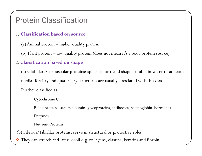## Protein Classification

1. Classification based on source

(a) Animal protein – higher quality protein

(b) Plant protein – low quality protein (does not mean it's a poor protein source)

#### 2. Classification based on shape

(a) Globular/Corpuscular proteins: spherical or ovoid shape, soluble in water or aqueous media. Tertiary and quaternary structures are usually associated with this classFurther classified as:

#### Cytochrome C

Blood proteins: serum albumin, glycoproteins, antibodies, haemoglobin, hormones Enzymes

Nutrient Proteins

(b) Fibrous/Fibrillar proteins: serve in structural or protective roles

❖ They can stretch and later recoil e.g. collagens, elastins, keratins and fibroin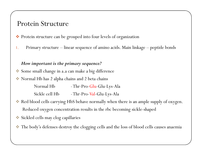### Protein Structure

- Protein structure can be grouped into four levels of organization
- 1.Primary structure – linear sequence of amino acids. Main linkage – peptide bonds

#### How important is the primary sequence?

- Some small change in a.a can make a big difference
- Normal Hb has 2 alpha chains and 2 beta chains
	- Normal Hb -Thr-Pro-Glu-Glu-Lys-Ala
	- -Thr-Pro-Val-Glu-Lys-Ala
- Red blood cells carrying HbS behave normally when there is an ample supply of oxygen. Reduced oxygen concentration results in the rbc becoming sickle-shaped
- Sickled cells may clog capillaries
- **SEP** The body's defenses destroy the clogging cells and the loss of blood cells causes anaemia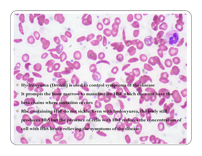- Hydroxyurea (Droxia) is used to control symptoms of the disease
- **K**  It prompts the bone marrow to manufacture HbF which does not have the
	- beta chains where mutation occurs
- Rbc containing HbF do not sickle. Even with hydoxyurea, the body still
	- produces HbS but the presence of cells with HbF reduces the concentration of

cell with HbS hence relieving the symptoms of the disease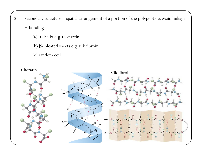- 2. Secondary structure spatial arrangement of a portion of the polypeptide. Main linkage-H bonding
	- (a) <sup>α</sup> helix e.g. α-keratin
	- (b) β- <sup>p</sup>leated sheets e.g. silk fibroin
	- (c) random coil

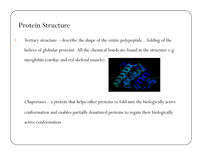## Protein Structure

3. Tertiary structure – describe the shape of the entire polypeptide…folding of the helices of globular proteins. All the chemical bonds are found in the structure e.g. myoglobin (cardiac and red skeletal muscle)

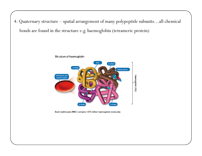4. Quaternary structure – spatial arrangement of many polypeptide subunits…all chemical bonds are found in the structure e.g. haemoglobin (tetrameric protein)



Each erythrocyte (RBC) contains ~270 million haemoglobin molecules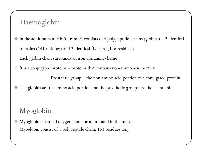## Haemoglobin

- In the adult human, Hb (tetramer) consists of 4 polypeptide chains (globins) 2 identical  $\bullet$  $\alpha$  chains (141 residues) and 2 identical  $\beta$  chains (146 residues)
- Each globin chain surrounds an iron-containing heme
- It is a conjugated proteins proteins that contains non-amino acid portion

Prosthetic group – the non-amino acid portion of a conjugated protein

参考 The globins are the amino acid portion and the prosthetic groups are the haem units

## Myoglobin

- 参考 Myoglobin is a small oxygen heme protein found in the muscle
- 参考 Myoglobin consist of 1 polypeptide chain, 153 residues long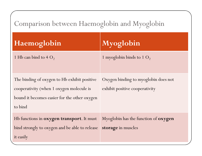## Comparison between Haemoglobin and Myoglobin

| Haemoglobin                                                                                                                                         | Myoglobin                                                              |
|-----------------------------------------------------------------------------------------------------------------------------------------------------|------------------------------------------------------------------------|
| 1 Hb can bind to $4 O_2$                                                                                                                            | 1 myoglobin binds to 1 $O_2$                                           |
| The binding of oxygen to Hb exhibit positive<br>cooperativity (when 1 oxygen molecule is<br>bound it becomes easier for the other oxygen<br>to bind | Oxygen binding to myoglobin does not<br>exhibit positive cooperativity |
| Hb functions in oxygen transport. It must<br>bind strongly to oxygen and be able to release<br>it easily                                            | Myoglobin has the function of <b>oxygen</b><br>storage in muscles      |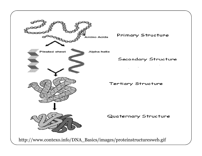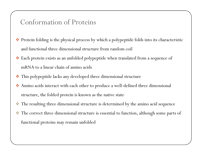## Conformation of Proteins

- Protein folding is the physical process by which a polypeptide folds into its characteristic and functional three dimensional structure from random coil
- Each protein exists as an unfolded polypeptide when translated from a sequence of mRNA to a linear chain of amino acids
- $\clubsuit$  This polypeptide lacks any developed three dimensional structure
- Amino acids interact with each other to produce a well-defined three dimensional structure, the folded protein is known as the native state
- 參 The resulting three dimensional structure is determined by the amino acid sequence
- 参考 The correct three dimensional structure is essential to function, although some parts of functional proteins may remain unfolded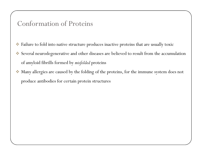## Conformation of Proteins

- Failure to fold into native structure produces inactive proteins that are usually toxic
- Several neurodegenerative and other diseases are believed to result from the accumulation of amyloid fibrills formed by misfolded proteins
- 參 Many allergies are caused by the folding of the proteins, for the immune system does not produce antibodies for certain protein structures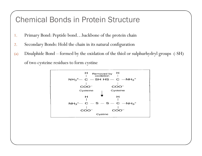## Chemical Bonds in Protein Structure

- 1.Primary Bond: Peptide bond…backbone of the protein chain
- 2.Secondary Bonds: Hold the chain in its natural configuration
- (a) Disulphide Bond – formed by the oxidation of the thiol or sulphurhydryl groups (-SH) of two cysteine residues to form cystine

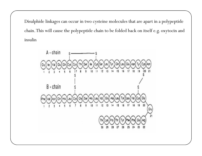Disulphide linkages can occur in two cysteine molecules that are apart in a polypeptide chain. This will cause the polypeptide chain to be folded back on itself e.g. oxytocin and insulin

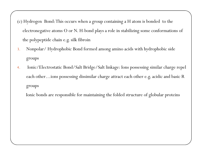(c) Hydrogen Bond: This occurs when a group containing a H atom is bonded to the electronegative atoms O or N. H-bond plays a role in stabilizing some conformations of the polypeptide chain e.g. silk fibroin

- 3. Nonpolar/ Hydrophobic Bond formed among amino acids with hydrophobic side groups
- 4. Ionic/Electrostatic Bond/Salt Bridge/Salt linkage: Ions possessing similar charge repel each other…ions possessing dissimilar charge attract each other e.g. acidic and basic R groups

Ionic bonds are responsible for maintaining the folded structure of globular proteins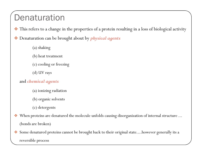# **Denaturation**

- $\clubsuit$  This refers to a change in the properties of a protein resulting in a loss of biological activity
- $\frac{1}{2}$ Denaturation can be brought about by *physical agents* 
	- (a) shaking
	- (b) heat treatment
	- (c) cooling or freezing
	- (d) UV rays

#### and chemical agents

- (a) ionizing radiation
- (b) organic solvents
- (c) detergents
- $\frac{1}{2}$ When proteins are denatured the molecule unfolds causing disorganization of internal structure ... (bonds are broken)
- $\frac{1}{2}$  Some denatured proteins cannot be brought back to their original state....however generally its a reversible process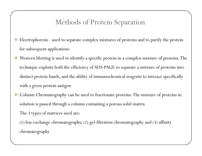## Methods of Protein Separation

- Electrophoresis used to separate complex mixtures of proteins and to purify the protein for subsequent applications
- Western blotting is used to identify a specific protein in a complex mixture of proteins. The technique exploits both the efficiency of SDS-PAGE to separate a mixture of proteins into distinct protein bands, and the ability of immunochemical reagents to interact specifically with a given protein antigen
- 参考 Column Chromatography can be used to fractionate proteins. The mixture of proteins in solution is passed through a column containing a porous solid matrix The 3 types of matrices used are:

(1) Ion-exchange chromatography, (2) gel-filtration chromatography and (3) affinity chromatography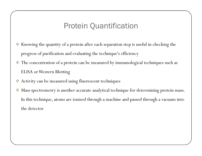## Protein Quantification

- 参考 Knowing the quantity of a protein after each separation step is useful in checking the progress of purification and evaluating the technique's efficiency
- $\bullet\bullet$  The concentration of a protein can be measured by immunological techniques such as ELISA or Western Blotting
- Activity can be measured using fluorescent techniques
- 多 Mass spectrometry is another accurate analytical technique for determining protein mass. In this technique, atoms are ionized through a machine and passed through a vacuum into the detector